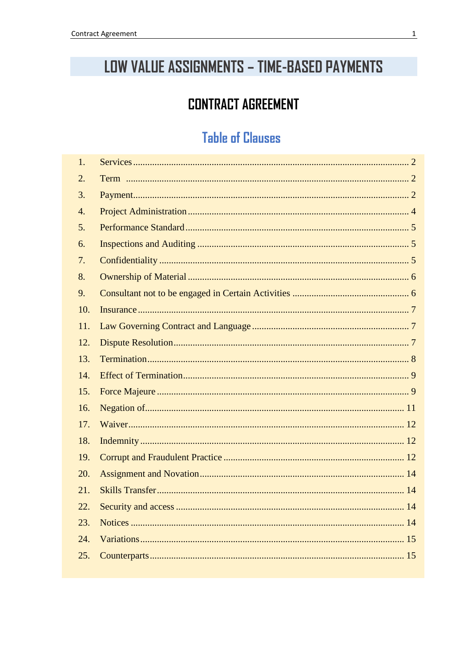# LOW VALUE ASSIGNMENTS - TIME-BASED PAYMENTS

### **CONTRACT AGREEMENT**

### **Table of Clauses**

| 1.               |  |
|------------------|--|
| $\overline{2}$ . |  |
| $\overline{3}$ . |  |
| $\overline{4}$ . |  |
| 5.               |  |
| 6.               |  |
| 7.               |  |
| 8.               |  |
| 9.               |  |
| 10.              |  |
| 11.              |  |
| 12.              |  |
| 13.              |  |
| 14.              |  |
| 15.              |  |
| 16.              |  |
| 17.              |  |
| 18.              |  |
| 19.              |  |
| 20.              |  |
| 21.              |  |
| 22.              |  |
| 23.              |  |
| 24.              |  |
| 25.              |  |
|                  |  |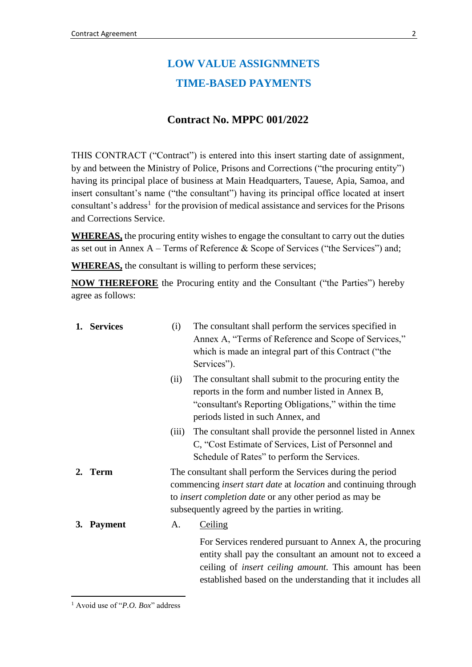### **LOW VALUE ASSIGNMNETS TIME-BASED PAYMENTS**

#### **Contract No. MPPC 001/2022**

THIS CONTRACT ("Contract") is entered into this insert starting date of assignment, by and between the Ministry of Police, Prisons and Corrections ("the procuring entity") having its principal place of business at Main Headquarters, Tauese, Apia, Samoa, and insert consultant's name ("the consultant") having its principal office located at insert consultant's address<sup>1</sup> for the provision of medical assistance and services for the Prisons and Corrections Service.

**WHEREAS,** the procuring entity wishes to engage the consultant to carry out the duties as set out in Annex  $A - Terms$  of Reference  $\&$  Scope of Services ("the Services") and;

**WHEREAS,** the consultant is willing to perform these services;

**NOW THEREFORE** the Procuring entity and the Consultant ("the Parties") hereby agree as follows:

<span id="page-1-0"></span>

|    | 1. Services    | (i)                                                                                                                                                                                                                                                              | The consultant shall perform the services specified in<br>Annex A, "Terms of Reference and Scope of Services,"<br>which is made an integral part of this Contract ("the<br>Services").                                                                 |
|----|----------------|------------------------------------------------------------------------------------------------------------------------------------------------------------------------------------------------------------------------------------------------------------------|--------------------------------------------------------------------------------------------------------------------------------------------------------------------------------------------------------------------------------------------------------|
|    |                | (ii)                                                                                                                                                                                                                                                             | The consultant shall submit to the procuring entity the<br>reports in the form and number listed in Annex B,<br>"consultant's Reporting Obligations," within the time<br>periods listed in such Annex, and                                             |
|    |                | (iii)                                                                                                                                                                                                                                                            | The consultant shall provide the personnel listed in Annex<br>C, "Cost Estimate of Services, List of Personnel and<br>Schedule of Rates" to perform the Services.                                                                                      |
| 2. | <b>Term</b>    | The consultant shall perform the Services during the period<br>commencing <i>insert start date</i> at <i>location</i> and continuing through<br>to <i>insert completion date</i> or any other period as may be<br>subsequently agreed by the parties in writing. |                                                                                                                                                                                                                                                        |
| 3. | <b>Payment</b> | А.                                                                                                                                                                                                                                                               | <b>Ceiling</b>                                                                                                                                                                                                                                         |
|    |                |                                                                                                                                                                                                                                                                  | For Services rendered pursuant to Annex A, the procuring<br>entity shall pay the consultant an amount not to exceed a<br>ceiling of <i>insert ceiling amount</i> . This amount has been<br>established based on the understanding that it includes all |

<span id="page-1-2"></span><span id="page-1-1"></span>1

<sup>1</sup> Avoid use of "*P.O. Box*" address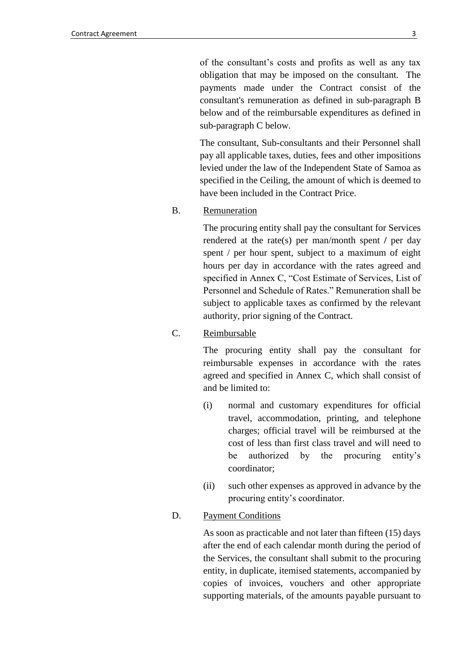of the consultant's costs and profits as well as any tax obligation that may be imposed on the consultant. The payments made under the Contract consist of the consultant's remuneration as defined in sub-paragraph B below and of the reimbursable expenditures as defined in sub-paragraph C below.

The consultant, Sub-consultants and their Personnel shall pay all applicable taxes, duties, fees and other impositions levied under the law of the Independent State of Samoa as specified in the Ceiling, the amount of which is deemed to have been included in the Contract Price.

#### B. Remuneration

The procuring entity shall pay the consultant for Services rendered at the rate(s) per man/month spent **/** per day spent / per hour spent, subject to a maximum of eight hours per day in accordance with the rates agreed and specified in Annex C, "Cost Estimate of Services, List of Personnel and Schedule of Rates." Remuneration shall be subject to applicable taxes as confirmed by the relevant authority, prior signing of the Contract.

#### C. Reimbursable

The procuring entity shall pay the consultant for reimbursable expenses in accordance with the rates agreed and specified in Annex C, which shall consist of and be limited to:

- (i) normal and customary expenditures for official travel, accommodation, printing, and telephone charges; official travel will be reimbursed at the cost of less than first class travel and will need to be authorized by the procuring entity's coordinator;
- (ii) such other expenses as approved in advance by the procuring entity's coordinator.

#### D. Payment Conditions

As soon as practicable and not later than fifteen (15) days after the end of each calendar month during the period of the Services, the consultant shall submit to the procuring entity, in duplicate, itemised statements, accompanied by copies of invoices, vouchers and other appropriate supporting materials, of the amounts payable pursuant to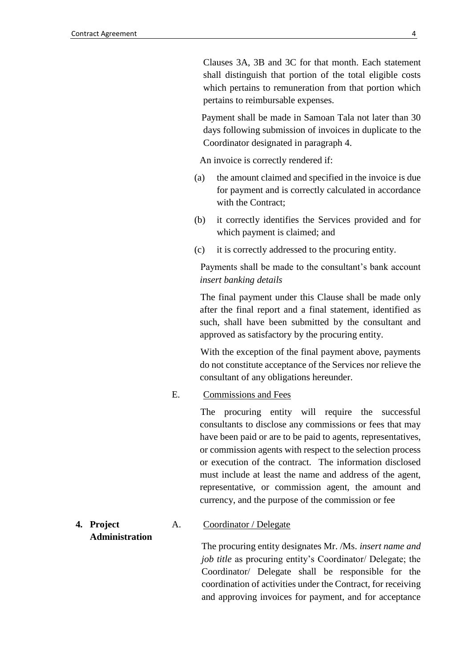Clauses 3A, 3B and 3C for that month. Each statement shall distinguish that portion of the total eligible costs which pertains to remuneration from that portion which pertains to reimbursable expenses.

Payment shall be made in Samoan Tala not later than 30 days following submission of invoices in duplicate to the Coordinator designated in paragraph 4.

An invoice is correctly rendered if:

- (a) the amount claimed and specified in the invoice is due for payment and is correctly calculated in accordance with the Contract:
- (b) it correctly identifies the Services provided and for which payment is claimed; and
- (c) it is correctly addressed to the procuring entity.

Payments shall be made to the consultant's bank account *insert banking details*

The final payment under this Clause shall be made only after the final report and a final statement, identified as such, shall have been submitted by the consultant and approved as satisfactory by the procuring entity.

With the exception of the final payment above, payments do not constitute acceptance of the Services nor relieve the consultant of any obligations hereunder.

#### E. Commissions and Fees

The procuring entity will require the successful consultants to disclose any commissions or fees that may have been paid or are to be paid to agents, representatives, or commission agents with respect to the selection process or execution of the contract. The information disclosed must include at least the name and address of the agent, representative, or commission agent, the amount and currency, and the purpose of the commission or fee

#### <span id="page-3-0"></span>**4. Project Administration** A. Coordinator / Delegate

The procuring entity designates Mr. /Ms. *insert name and job title* as procuring entity's Coordinator/ Delegate; the Coordinator/ Delegate shall be responsible for the coordination of activities under the Contract, for receiving and approving invoices for payment, and for acceptance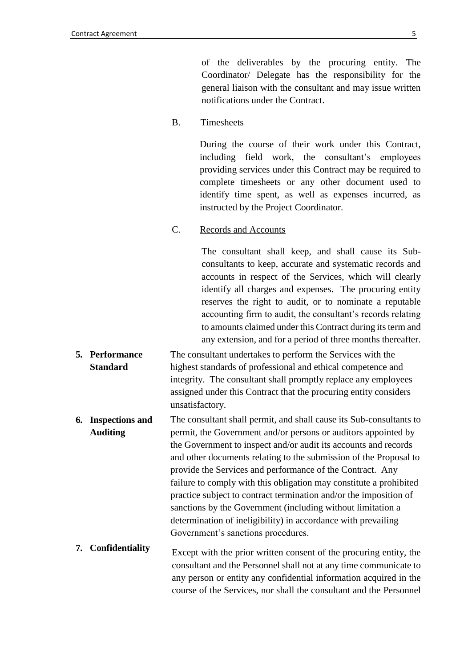of the deliverables by the procuring entity. The Coordinator/ Delegate has the responsibility for the general liaison with the consultant and may issue written notifications under the Contract.

B. Timesheets

During the course of their work under this Contract, including field work, the consultant's employees providing services under this Contract may be required to complete timesheets or any other document used to identify time spent, as well as expenses incurred, as instructed by the Project Coordinator.

C. Records and Accounts

The consultant shall keep, and shall cause its Subconsultants to keep, accurate and systematic records and accounts in respect of the Services, which will clearly identify all charges and expenses. The procuring entity reserves the right to audit, or to nominate a reputable accounting firm to audit, the consultant's records relating to amounts claimed under this Contract during its term and any extension, and for a period of three months thereafter.

- <span id="page-4-0"></span>**5. Performance Standard** The consultant undertakes to perform the Services with the highest standards of professional and ethical competence and integrity. The consultant shall promptly replace any employees assigned under this Contract that the procuring entity considers unsatisfactory.
- <span id="page-4-1"></span>**6. Inspections and Auditing** The consultant shall permit, and shall cause its Sub-consultants to permit, the Government and/or persons or auditors appointed by the Government to inspect and/or audit its accounts and records and other documents relating to the submission of the Proposal to provide the Services and performance of the Contract. Any failure to comply with this obligation may constitute a prohibited practice subject to contract termination and/or the imposition of sanctions by the Government (including without limitation a determination of ineligibility) in accordance with prevailing Government's sanctions procedures.
- <span id="page-4-2"></span>**7. Confidentiality** Except with the prior written consent of the procuring entity, the consultant and the Personnel shall not at any time communicate to any person or entity any confidential information acquired in the course of the Services, nor shall the consultant and the Personnel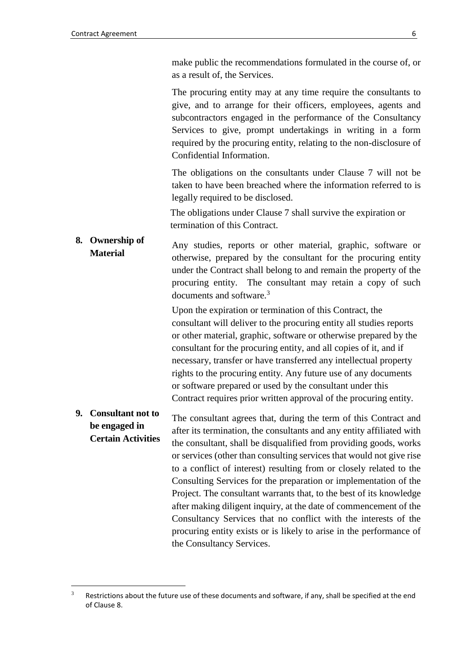<u>.</u>

make public the recommendations formulated in the course of, or as a result of, the Services.

The procuring entity may at any time require the consultants to give, and to arrange for their officers, employees, agents and subcontractors engaged in the performance of the Consultancy Services to give, prompt undertakings in writing in a form required by the procuring entity, relating to the non-disclosure of Confidential Information.

The obligations on the consultants under Clause 7 will not be taken to have been breached where the information referred to is legally required to be disclosed.

The obligations under Clause 7 shall survive the expiration or termination of this Contract.

<span id="page-5-0"></span>**8. Ownership of Material** Any studies, reports or other material, graphic, software or otherwise, prepared by the consultant for the procuring entity under the Contract shall belong to and remain the property of the procuring entity. The consultant may retain a copy of such documents and software.<sup>3</sup>

> Upon the expiration or termination of this Contract, the consultant will deliver to the procuring entity all studies reports or other material, graphic, software or otherwise prepared by the consultant for the procuring entity, and all copies of it, and if necessary, transfer or have transferred any intellectual property rights to the procuring entity. Any future use of any documents or software prepared or used by the consultant under this Contract requires prior written approval of the procuring entity.

#### <span id="page-5-1"></span>**9. Consultant not to be engaged in Certain Activities** The consultant agrees that, during the term of this Contract and after its termination, the consultants and any entity affiliated with the consultant, shall be disqualified from providing goods, works or services (other than consulting services that would not give rise to a conflict of interest) resulting from or closely related to the Consulting Services for the preparation or implementation of the Project. The consultant warrants that, to the best of its knowledge after making diligent inquiry, at the date of commencement of the Consultancy Services that no conflict with the interests of the procuring entity exists or is likely to arise in the performance of the Consultancy Services.

 $3$  Restrictions about the future use of these documents and software, if any, shall be specified at the end of Clause 8.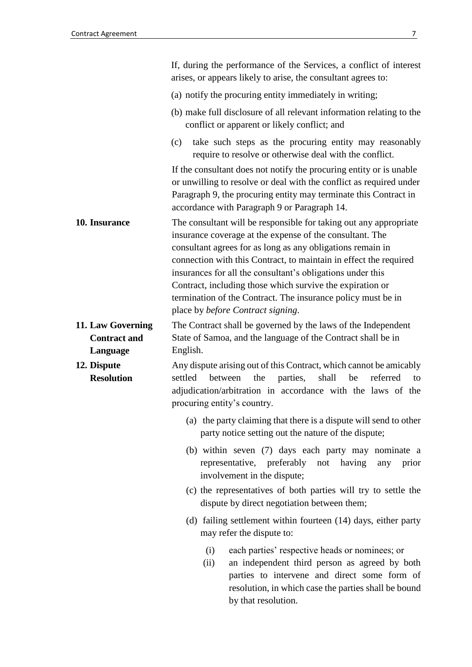<span id="page-6-2"></span><span id="page-6-1"></span><span id="page-6-0"></span>

|                                                      | If, during the performance of the Services, a conflict of interest<br>arises, or appears likely to arise, the consultant agrees to:                                                                                                                                                                                                                                                                                                                                                                      |  |  |
|------------------------------------------------------|----------------------------------------------------------------------------------------------------------------------------------------------------------------------------------------------------------------------------------------------------------------------------------------------------------------------------------------------------------------------------------------------------------------------------------------------------------------------------------------------------------|--|--|
|                                                      | (a) notify the procuring entity immediately in writing;                                                                                                                                                                                                                                                                                                                                                                                                                                                  |  |  |
|                                                      | (b) make full disclosure of all relevant information relating to the<br>conflict or apparent or likely conflict; and                                                                                                                                                                                                                                                                                                                                                                                     |  |  |
|                                                      | take such steps as the procuring entity may reasonably<br>(c)<br>require to resolve or otherwise deal with the conflict.                                                                                                                                                                                                                                                                                                                                                                                 |  |  |
|                                                      | If the consultant does not notify the procuring entity or is unable<br>or unwilling to resolve or deal with the conflict as required under<br>Paragraph 9, the procuring entity may terminate this Contract in<br>accordance with Paragraph 9 or Paragraph 14.                                                                                                                                                                                                                                           |  |  |
| 10. Insurance                                        | The consultant will be responsible for taking out any appropriate<br>insurance coverage at the expense of the consultant. The<br>consultant agrees for as long as any obligations remain in<br>connection with this Contract, to maintain in effect the required<br>insurances for all the consultant's obligations under this<br>Contract, including those which survive the expiration or<br>termination of the Contract. The insurance policy must be in<br>place by <i>before Contract signing</i> . |  |  |
| 11. Law Governing<br><b>Contract and</b><br>Language | The Contract shall be governed by the laws of the Independent<br>State of Samoa, and the language of the Contract shall be in<br>English.                                                                                                                                                                                                                                                                                                                                                                |  |  |
| 12. Dispute<br><b>Resolution</b>                     | Any dispute arising out of this Contract, which cannot be amicably<br>settled<br>parties,<br>shall<br>between<br>the<br>be<br>referred<br>to<br>adjudication/arbitration in accordance with the laws of the<br>procuring entity's country.                                                                                                                                                                                                                                                               |  |  |
|                                                      | (a) the party claiming that there is a dispute will send to other<br>party notice setting out the nature of the dispute;                                                                                                                                                                                                                                                                                                                                                                                 |  |  |
|                                                      | (b) within seven (7) days each party may nominate a<br>representative, preferably not<br>having<br>any<br>prior<br>involvement in the dispute;                                                                                                                                                                                                                                                                                                                                                           |  |  |
|                                                      | (c) the representatives of both parties will try to settle the<br>dispute by direct negotiation between them;                                                                                                                                                                                                                                                                                                                                                                                            |  |  |
|                                                      | (d) failing settlement within fourteen (14) days, either party<br>may refer the dispute to:                                                                                                                                                                                                                                                                                                                                                                                                              |  |  |
|                                                      | each parties' respective heads or nominees; or<br>(i)<br>an independent third person as agreed by both<br>(ii)<br>parties to intervene and direct some form of<br>resolution, in which case the parties shall be bound<br>by that resolution.                                                                                                                                                                                                                                                            |  |  |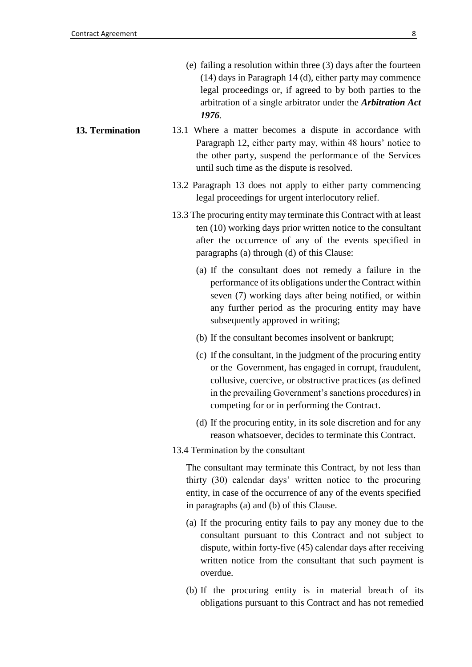- (e) failing a resolution within three (3) days after the fourteen (14) days in Paragraph 14 (d), either party may commence legal proceedings or, if agreed to by both parties to the arbitration of a single arbitrator under the *Arbitration Act 1976.*
- <span id="page-7-0"></span>**13. Termination** 13.1 Where a matter becomes a dispute in accordance with Paragraph 12, either party may, within 48 hours' notice to the other party, suspend the performance of the Services until such time as the dispute is resolved.
	- 13.2 Paragraph 13 does not apply to either party commencing legal proceedings for urgent interlocutory relief.
	- 13.3 The procuring entity may terminate this Contract with at least ten (10) working days prior written notice to the consultant after the occurrence of any of the events specified in paragraphs (a) through (d) of this Clause:
		- (a) If the consultant does not remedy a failure in the performance of its obligations under the Contract within seven (7) working days after being notified, or within any further period as the procuring entity may have subsequently approved in writing;
		- (b) If the consultant becomes insolvent or bankrupt;
		- (c) If the consultant, in the judgment of the procuring entity or the Government, has engaged in corrupt, fraudulent, collusive, coercive, or obstructive practices (as defined in the prevailing Government's sanctions procedures) in competing for or in performing the Contract.
		- (d) If the procuring entity, in its sole discretion and for any reason whatsoever, decides to terminate this Contract.
	- 13.4 Termination by the consultant

 The consultant may terminate this Contract, by not less than thirty (30) calendar days' written notice to the procuring entity, in case of the occurrence of any of the events specified in paragraphs (a) and (b) of this Clause.

- (a) If the procuring entity fails to pay any money due to the consultant pursuant to this Contract and not subject to dispute, within forty-five (45) calendar days after receiving written notice from the consultant that such payment is overdue.
- (b) If the procuring entity is in material breach of its obligations pursuant to this Contract and has not remedied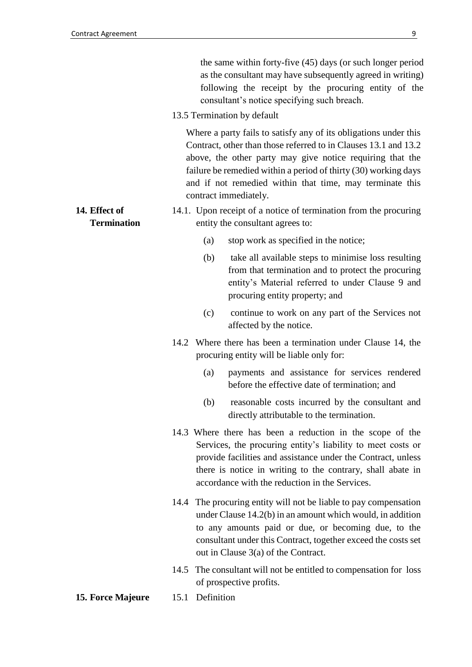the same within forty-five (45) days (or such longer period as the consultant may have subsequently agreed in writing) following the receipt by the procuring entity of the consultant's notice specifying such breach.

13.5 Termination by default

 Where a party fails to satisfy any of its obligations under this Contract, other than those referred to in Clauses 13.1 and 13.2 above, the other party may give notice requiring that the failure be remedied within a period of thirty (30) working days and if not remedied within that time, may terminate this contract immediately.

- 14.1. Upon receipt of a notice of termination from the procuring entity the consultant agrees to:
- **Termination**

<span id="page-8-0"></span>**14. Effect of** 

- (a) stop work as specified in the notice;
- (b) take all available steps to minimise loss resulting from that termination and to protect the procuring entity's Material referred to under Clause 9 and procuring entity property; and
- (c) continue to work on any part of the Services not affected by the notice.
- 14.2 Where there has been a termination under Clause 14, the procuring entity will be liable only for:
	- (a) payments and assistance for services rendered before the effective date of termination; and
	- (b) reasonable costs incurred by the consultant and directly attributable to the termination.
- 14.3 Where there has been a reduction in the scope of the Services, the procuring entity's liability to meet costs or provide facilities and assistance under the Contract, unless there is notice in writing to the contrary, shall abate in accordance with the reduction in the Services.
- 14.4 The procuring entity will not be liable to pay compensation under Clause 14.2(b) in an amount which would, in addition to any amounts paid or due, or becoming due, to the consultant under this Contract, together exceed the costs set out in Clause 3(a) of the Contract.
- 14.5 The consultant will not be entitled to compensation for loss of prospective profits.
- <span id="page-8-1"></span>**15. Force Majeure** 15.1 Definition
-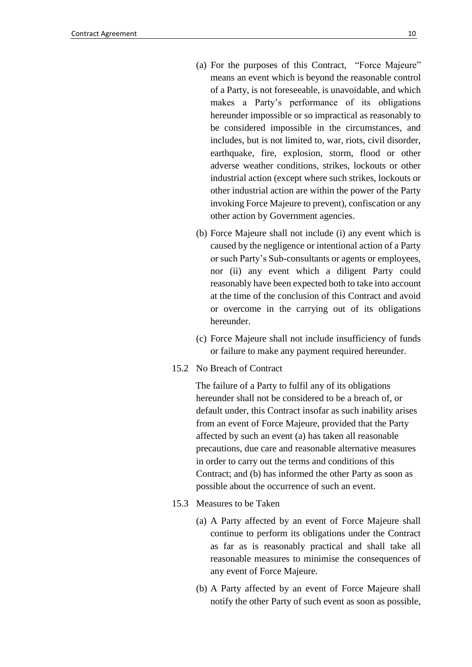- (a) For the purposes of this Contract, "Force Majeure" means an event which is beyond the reasonable control of a Party, is not foreseeable, is unavoidable, and which makes a Party's performance of its obligations hereunder impossible or so impractical as reasonably to be considered impossible in the circumstances, and includes, but is not limited to, war, riots, civil disorder, earthquake, fire, explosion, storm, flood or other adverse weather conditions, strikes, lockouts or other industrial action (except where such strikes, lockouts or other industrial action are within the power of the Party invoking Force Majeure to prevent), confiscation or any other action by Government agencies.
- (b) Force Majeure shall not include (i) any event which is caused by the negligence or intentional action of a Party or such Party's Sub-consultants or agents or employees, nor (ii) any event which a diligent Party could reasonably have been expected both to take into account at the time of the conclusion of this Contract and avoid or overcome in the carrying out of its obligations hereunder.
- (c) Force Majeure shall not include insufficiency of funds or failure to make any payment required hereunder.
- 15.2 No Breach of Contract

 The failure of a Party to fulfil any of its obligations hereunder shall not be considered to be a breach of, or default under, this Contract insofar as such inability arises from an event of Force Majeure, provided that the Party affected by such an event (a) has taken all reasonable precautions, due care and reasonable alternative measures in order to carry out the terms and conditions of this Contract; and (b) has informed the other Party as soon as possible about the occurrence of such an event.

- 15.3 Measures to be Taken
	- (a) A Party affected by an event of Force Majeure shall continue to perform its obligations under the Contract as far as is reasonably practical and shall take all reasonable measures to minimise the consequences of any event of Force Majeure.
	- (b) A Party affected by an event of Force Majeure shall notify the other Party of such event as soon as possible,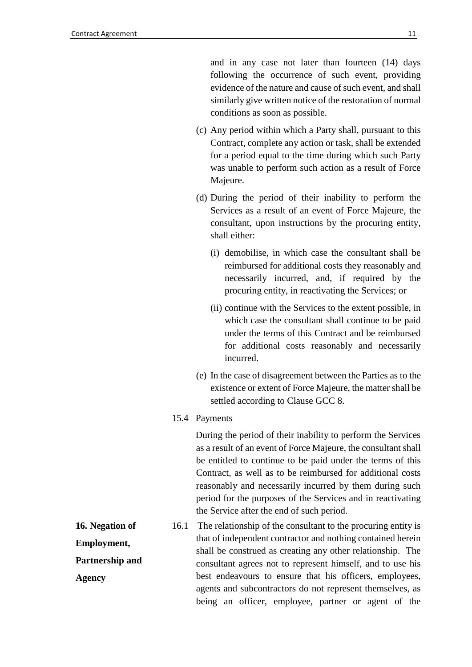and in any case not later than fourteen (14) days following the occurrence of such event, providing evidence of the nature and cause of such event, and shall similarly give written notice of the restoration of normal conditions as soon as possible.

- (c) Any period within which a Party shall, pursuant to this Contract, complete any action or task, shall be extended for a period equal to the time during which such Party was unable to perform such action as a result of Force Majeure.
- (d) During the period of their inability to perform the Services as a result of an event of Force Majeure, the consultant, upon instructions by the procuring entity, shall either:
	- (i) demobilise, in which case the consultant shall be reimbursed for additional costs they reasonably and necessarily incurred, and, if required by the procuring entity, in reactivating the Services; or
	- (ii) continue with the Services to the extent possible, in which case the consultant shall continue to be paid under the terms of this Contract and be reimbursed for additional costs reasonably and necessarily incurred.
- (e) In the case of disagreement between the Parties as to the existence or extent of Force Majeure, the matter shall be settled according to Clause GCC 8.
- 15.4 Payments

 During the period of their inability to perform the Services as a result of an event of Force Majeure, the consultant shall be entitled to continue to be paid under the terms of this Contract, as well as to be reimbursed for additional costs reasonably and necessarily incurred by them during such period for the purposes of the Services and in reactivating the Service after the end of such period.

<span id="page-10-0"></span>**16. Negation of Employment, Partnership and Agency**  16.1 The relationship of the consultant to the procuring entity is that of independent contractor and nothing contained herein shall be construed as creating any other relationship. The consultant agrees not to represent himself, and to use his best endeavours to ensure that his officers, employees, agents and subcontractors do not represent themselves, as being an officer, employee, partner or agent of the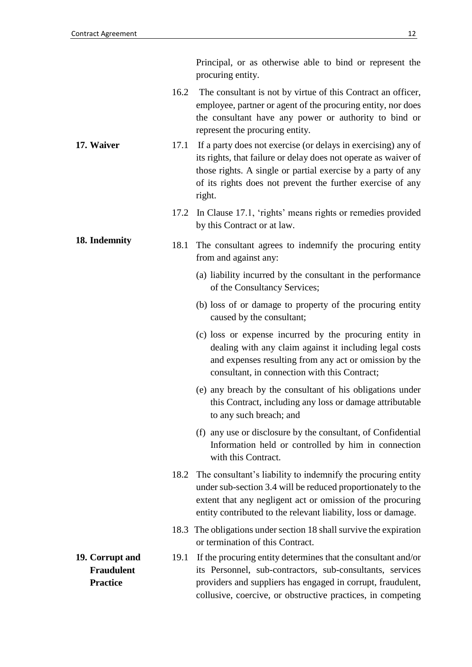<span id="page-11-2"></span><span id="page-11-1"></span><span id="page-11-0"></span>

|                                                         |      | Principal, or as otherwise able to bind or represent the<br>procuring entity.                                                                                                                                                                                  |
|---------------------------------------------------------|------|----------------------------------------------------------------------------------------------------------------------------------------------------------------------------------------------------------------------------------------------------------------|
|                                                         |      | 16.2 The consultant is not by virtue of this Contract an officer,<br>employee, partner or agent of the procuring entity, nor does<br>the consultant have any power or authority to bind or<br>represent the procuring entity.                                  |
| 17. Waiver<br>17.1<br>right.                            |      | If a party does not exercise (or delays in exercising) any of<br>its rights, that failure or delay does not operate as waiver of<br>those rights. A single or partial exercise by a party of any<br>of its rights does not prevent the further exercise of any |
|                                                         | 17.2 | In Clause 17.1, 'rights' means rights or remedies provided<br>by this Contract or at law.                                                                                                                                                                      |
| 18. Indemnity                                           | 18.1 | The consultant agrees to indemnify the procuring entity<br>from and against any:                                                                                                                                                                               |
|                                                         |      | (a) liability incurred by the consultant in the performance<br>of the Consultancy Services;                                                                                                                                                                    |
|                                                         |      | (b) loss of or damage to property of the procuring entity<br>caused by the consultant;                                                                                                                                                                         |
|                                                         |      | (c) loss or expense incurred by the procuring entity in<br>dealing with any claim against it including legal costs<br>and expenses resulting from any act or omission by the<br>consultant, in connection with this Contract;                                  |
|                                                         |      | (e) any breach by the consultant of his obligations under<br>this Contract, including any loss or damage attributable<br>to any such breach; and                                                                                                               |
|                                                         |      | (f) any use or disclosure by the consultant, of Confidential<br>Information held or controlled by him in connection<br>with this Contract.                                                                                                                     |
|                                                         | 18.2 | The consultant's liability to indemnify the procuring entity<br>under sub-section 3.4 will be reduced proportionately to the<br>extent that any negligent act or omission of the procuring<br>entity contributed to the relevant liability, loss or damage.    |
|                                                         |      | 18.3 The obligations under section 18 shall survive the expiration<br>or termination of this Contract.                                                                                                                                                         |
| 19. Corrupt and<br><b>Fraudulent</b><br><b>Practice</b> | 19.1 | If the procuring entity determines that the consultant and/or<br>its Personnel, sub-contractors, sub-consultants, services<br>providers and suppliers has engaged in corrupt, fraudulent,<br>collusive, coercive, or obstructive practices, in competing       |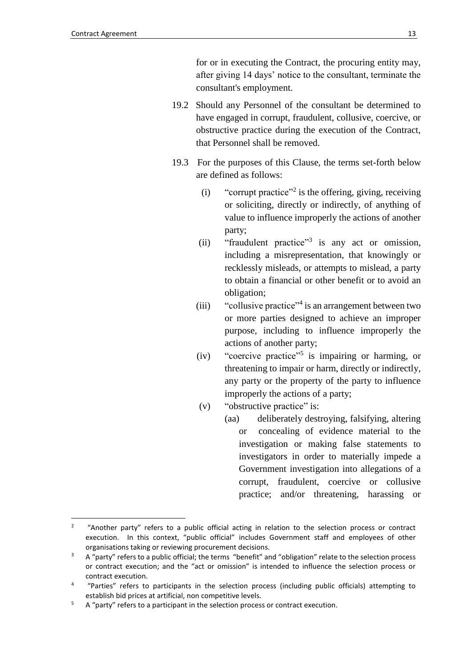<u>.</u>

for or in executing the Contract, the procuring entity may, after giving 14 days' notice to the consultant, terminate the consultant's employment.

- 19.2 Should any Personnel of the consultant be determined to have engaged in corrupt, fraudulent, collusive, coercive, or obstructive practice during the execution of the Contract, that Personnel shall be removed.
- 19.3 For the purposes of this Clause, the terms set-forth below are defined as follows:
	- $(i)$  "corrupt practice"<sup>2</sup> is the offering, giving, receiving or soliciting, directly or indirectly, of anything of value to influence improperly the actions of another party;
	- (ii) "fraudulent practice"<sup>3</sup> is any act or omission, including a misrepresentation, that knowingly or recklessly misleads, or attempts to mislead, a party to obtain a financial or other benefit or to avoid an obligation;
	- (iii) "collusive practice"<sup>4</sup> is an arrangement between two or more parties designed to achieve an improper purpose, including to influence improperly the actions of another party;
	- (iv) "coercive practice"<sup>5</sup> is impairing or harming, or threatening to impair or harm, directly or indirectly, any party or the property of the party to influence improperly the actions of a party;
	- (v) "obstructive practice" is:
		- (aa) deliberately destroying, falsifying, altering or concealing of evidence material to the investigation or making false statements to investigators in order to materially impede a Government investigation into allegations of a corrupt, fraudulent, coercive or collusive practice; and/or threatening, harassing or

 $\overline{2}$ "Another party" refers to a public official acting in relation to the selection process or contract execution. In this context, "public official" includes Government staff and employees of other organisations taking or reviewing procurement decisions.

<sup>&</sup>lt;sup>3</sup> A "party" refers to a public official; the terms "benefit" and "obligation" relate to the selection process or contract execution; and the "act or omission" is intended to influence the selection process or contract execution.

<sup>4</sup> "Parties" refers to participants in the selection process (including public officials) attempting to establish bid prices at artificial, non competitive levels.

 $5$  A "party" refers to a participant in the selection process or contract execution.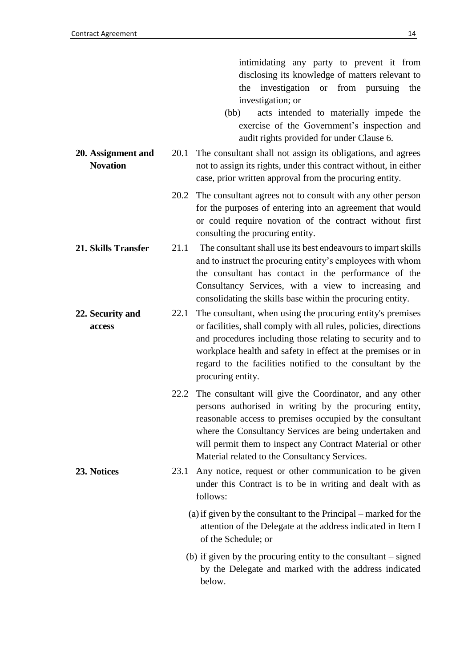- (bb) acts intended to materially impede the exercise of the Government's inspection and audit rights provided for under Clause 6.
- <span id="page-13-0"></span>**20. Assignment and Novation** 20.1 The consultant shall not assign its obligations, and agrees not to assign its rights, under this contract without, in either case, prior written approval from the procuring entity.
	- 20.2 The consultant agrees not to consult with any other person for the purposes of entering into an agreement that would or could require novation of the contract without first consulting the procuring entity.
- <span id="page-13-1"></span>**21. Skills Transfer** 21.1 The consultant shall use its best endeavours to impart skills and to instruct the procuring entity's employees with whom the consultant has contact in the performance of the Consultancy Services, with a view to increasing and consolidating the skills base within the procuring entity.
- <span id="page-13-2"></span>**22. Security and access** 22.1 The consultant, when using the procuring entity's premises or facilities, shall comply with all rules, policies, directions and procedures including those relating to security and to workplace health and safety in effect at the premises or in regard to the facilities notified to the consultant by the procuring entity.
	- 22.2 The consultant will give the Coordinator, and any other persons authorised in writing by the procuring entity, reasonable access to premises occupied by the consultant where the Consultancy Services are being undertaken and will permit them to inspect any Contract Material or other Material related to the Consultancy Services.
- <span id="page-13-3"></span>**23. Notices** 23.1 Any notice, request or other communication to be given under this Contract is to be in writing and dealt with as follows:

(a)if given by the consultant to the Principal – marked for the attention of the Delegate at the address indicated in Item I of the Schedule; or

(b) if given by the procuring entity to the consultant – signed by the Delegate and marked with the address indicated below.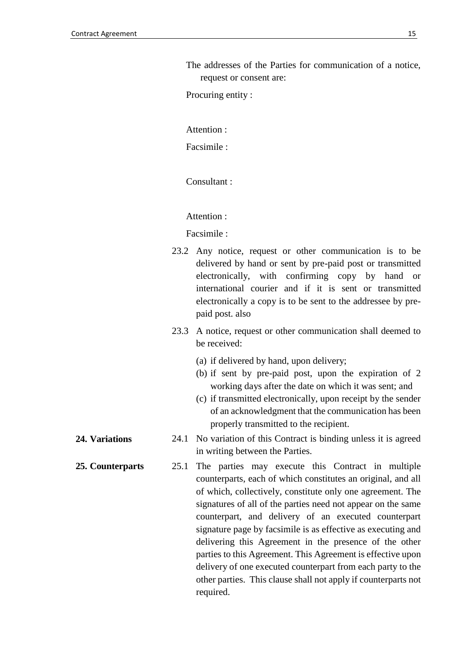The addresses of the Parties for communication of a notice, request or consent are:

Procuring entity :

Attention :

Facsimile :

Consultant :

Attention :

Facsimile :

- 23.2 Any notice, request or other communication is to be delivered by hand or sent by pre-paid post or transmitted electronically, with confirming copy by hand or international courier and if it is sent or transmitted electronically a copy is to be sent to the addressee by prepaid post. also
- 23.3 A notice, request or other communication shall deemed to be received:
	- (a) if delivered by hand, upon delivery;
	- (b) if sent by pre-paid post, upon the expiration of 2 working days after the date on which it was sent; and
	- (c) if transmitted electronically, upon receipt by the sender of an acknowledgment that the communication has been properly transmitted to the recipient.
- <span id="page-14-0"></span>**24. Variations** 24.1 No variation of this Contract is binding unless it is agreed in writing between the Parties.
- <span id="page-14-1"></span>**25. Counterparts** 25.1 The parties may execute this Contract in multiple counterparts, each of which constitutes an original, and all of which, collectively, constitute only one agreement. The signatures of all of the parties need not appear on the same counterpart, and delivery of an executed counterpart signature page by facsimile is as effective as executing and delivering this Agreement in the presence of the other parties to this Agreement. This Agreement is effective upon delivery of one executed counterpart from each party to the other parties. This clause shall not apply if counterparts not required.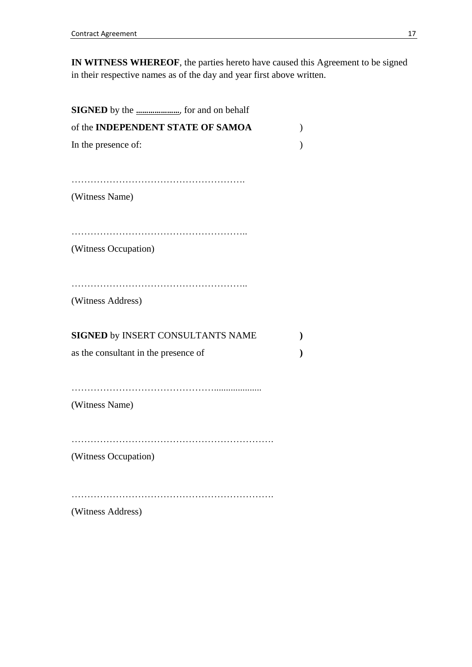**IN WITNESS WHEREOF**, the parties hereto have caused this Agreement to be signed in their respective names as of the day and year first above written.

| <b>SIGNED</b> by the <i>massimirano for and on behalf</i> |              |
|-----------------------------------------------------------|--------------|
| of the INDEPENDENT STATE OF SAMOA                         | $\lambda$    |
| In the presence of:                                       | $\mathcal Y$ |
| (Witness Name)                                            |              |
| (Witness Occupation)                                      |              |
| (Witness Address)                                         |              |
| SIGNED by INSERT CONSULTANTS NAME                         |              |
| as the consultant in the presence of                      |              |
| (Witness Name)                                            |              |
| (Witness Occupation)                                      |              |
| (Witness Address)                                         |              |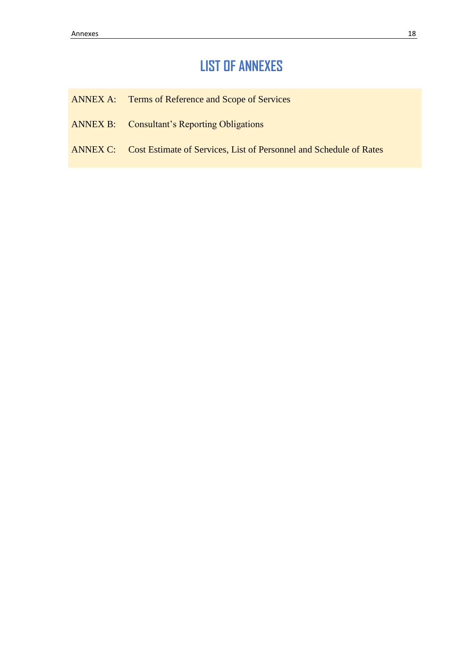## **LIST OF ANNEXES**

- ANNEX A: Terms of Reference and Scope of Services
- ANNEX B: Consultant's Reporting Obligations
- ANNEX C: Cost Estimate of Services, List of Personnel and Schedule of Rates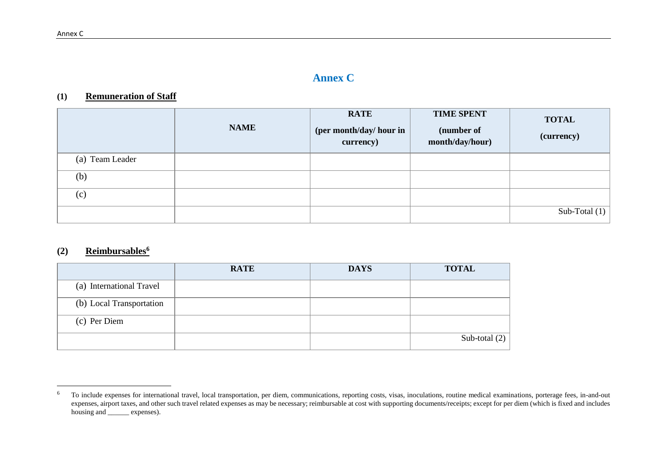### **Annex C**

#### **(1) Remuneration of Staff**

|                 | <b>NAME</b> | <b>RATE</b><br>(per month/day/ hour in<br>currency) | <b>TIME SPENT</b><br>(number of<br>month/day/hour) | <b>TOTAL</b><br>(currency) |
|-----------------|-------------|-----------------------------------------------------|----------------------------------------------------|----------------------------|
| (a) Team Leader |             |                                                     |                                                    |                            |
| (b)             |             |                                                     |                                                    |                            |
| (c)             |             |                                                     |                                                    |                            |
|                 |             |                                                     |                                                    | Sub-Total $(1)$            |

#### **(2) Reimbursables<sup>6</sup>**

|                          | <b>RATE</b> | <b>DAYS</b> | <b>TOTAL</b>    |
|--------------------------|-------------|-------------|-----------------|
| (a) International Travel |             |             |                 |
| (b) Local Transportation |             |             |                 |
| (c) Per Diem             |             |             |                 |
|                          |             |             | Sub-total $(2)$ |

 $6\overline{6}$ <sup>6</sup> To include expenses for international travel, local transportation, per diem, communications, reporting costs, visas, inoculations, routine medical examinations, porterage fees, in-and-out expenses, airport taxes, and other such travel related expenses as may be necessary; reimbursable at cost with supporting documents/receipts; except for per diem (which is fixed and includes housing and <u>expenses</u>).